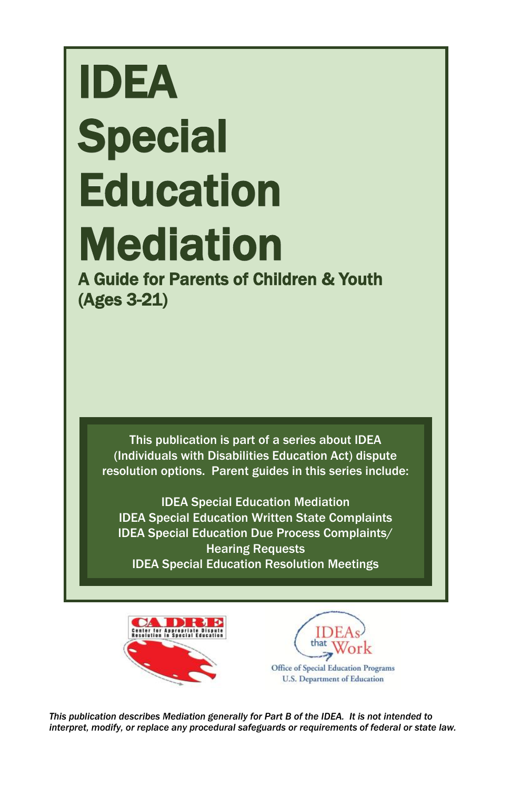# IDEA **Special Education** Mediation

A Guide for Parents of Children & Youth (Ages 3-21)

This publication is part of a series about IDEA (Individuals with Disabilities Education Act) dispute resolution options. Parent guides in this series include:

IDEA Special Education Mediation IDEA Special Education Written State Complaints IDEA Special Education Due Process Complaints/ Hearing Requests IDEA Special Education Resolution Meetings





*This publication describes Mediation generally for Part B of the IDEA. It is not intended to interpret, modify, or replace any procedural safeguards or requirements of federal or state law.*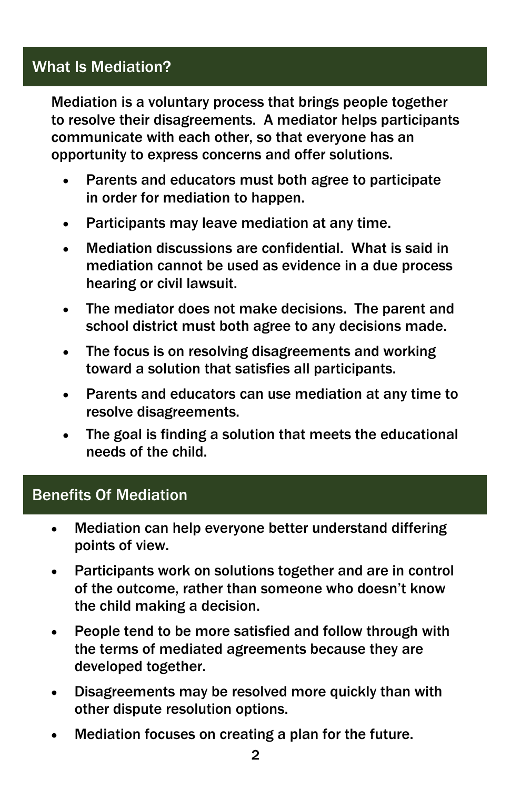# What Is Mediation?

Mediation is a voluntary process that brings people together to resolve their disagreements. A mediator helps participants communicate with each other, so that everyone has an opportunity to express concerns and offer solutions.

- Parents and educators must both agree to participate in order for mediation to happen.
- Participants may leave mediation at any time.
- Mediation discussions are confidential. What is said in mediation cannot be used as evidence in a due process hearing or civil lawsuit.
- The mediator does not make decisions. The parent and school district must both agree to any decisions made.
- The focus is on resolving disagreements and working toward a solution that satisfies all participants.
- Parents and educators can use mediation at any time to resolve disagreements.
- The goal is finding a solution that meets the educational needs of the child.

## Benefits Of Mediation

- Mediation can help everyone better understand differing points of view.
- Participants work on solutions together and are in control of the outcome, rather than someone who doesn't know the child making a decision.
- People tend to be more satisfied and follow through with the terms of mediated agreements because they are developed together.
- Disagreements may be resolved more quickly than with other dispute resolution options.
- Mediation focuses on creating a plan for the future.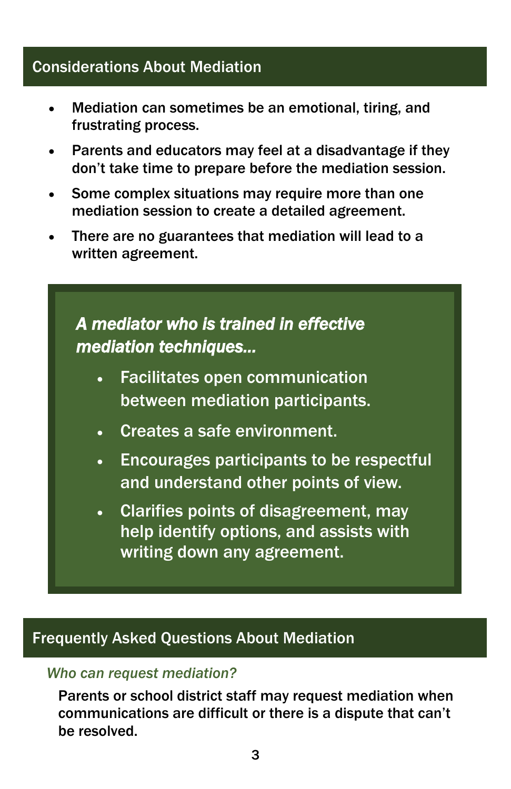## Considerations About Mediation

- Mediation can sometimes be an emotional, tiring, and frustrating process.
- Parents and educators may feel at a disadvantage if they don't take time to prepare before the mediation session.
- Some complex situations may require more than one mediation session to create a detailed agreement.
- There are no guarantees that mediation will lead to a written agreement.

# *A mediator who is trained in effective mediation techniques…*

- Facilitates open communication between mediation participants.
- Creates a safe environment.
- Encourages participants to be respectful and understand other points of view.
- Clarifies points of disagreement, may help identify options, and assists with writing down any agreement.

## Frequently Asked Questions About Mediation

#### *Who can request mediation?*

Parents or school district staff may request mediation when communications are difficult or there is a dispute that can't be resolved.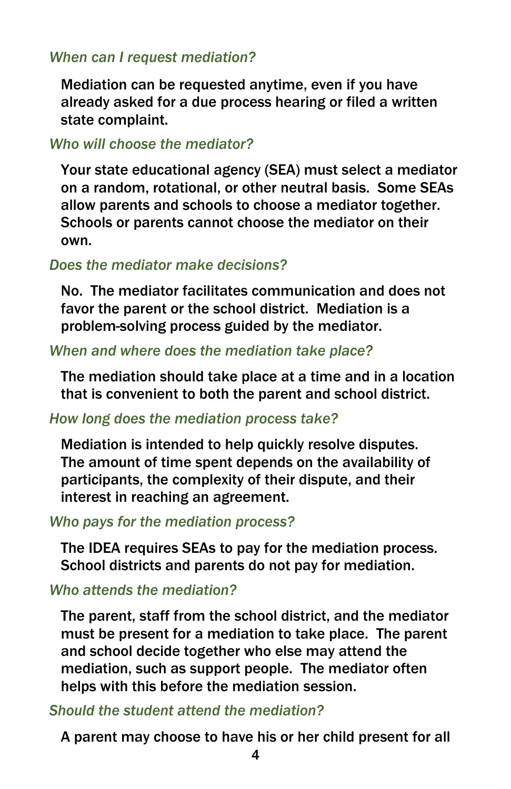#### *When can I request mediation?*

Mediation can be requested anytime, even if you have already asked for a due process hearing or filed a written state complaint.

#### *Who will choose the mediator?*

Your state educational agency (SEA) must select a mediator on a random, rotational, or other neutral basis. Some SEAs allow parents and schools to choose a mediator together. Schools or parents cannot choose the mediator on their own.

#### *Does the mediator make decisions?*

No. The mediator facilitates communication and does not favor the parent or the school district. Mediation is a problem-solving process guided by the mediator.

#### *When and where does the mediation take place?*

The mediation should take place at a time and in a location that is convenient to both the parent and school district.

#### *How long does the mediation process take?*

Mediation is intended to help quickly resolve disputes. The amount of time spent depends on the availability of participants, the complexity of their dispute, and their interest in reaching an agreement.

#### *Who pays for the mediation process?*

The IDEA requires SEAs to pay for the mediation process. School districts and parents do not pay for mediation.

#### *Who attends the mediation?*

The parent, staff from the school district, and the mediator must be present for a mediation to take place. The parent and school decide together who else may attend the mediation, such as support people. The mediator often helps with this before the mediation session.

#### *Should the student attend the mediation?*

A parent may choose to have his or her child present for all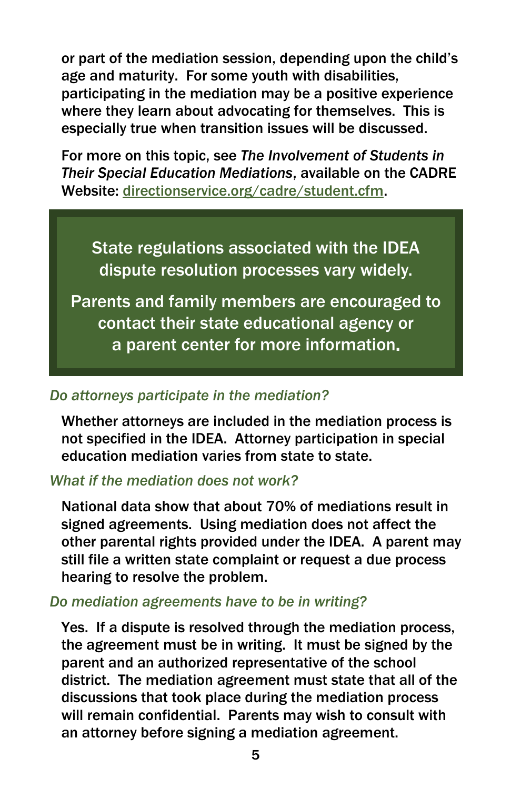or part of the mediation session, depending upon the child's age and maturity. For some youth with disabilities, participating in the mediation may be a positive experience where they learn about advocating for themselves. This is especially true when transition issues will be discussed.

For more on this topic, see *The Involvement of Students in Their Special Education Mediations*, available on the CADRE Website: directionservice.org/cadre/student.cfm.

State regulations associated with the IDEA dispute resolution processes vary widely.

Parents and family members are encouraged to contact their state educational agency or a parent center for more information.

## *Do attorneys participate in the mediation?*

Whether attorneys are included in the mediation process is not specified in the IDEA. Attorney participation in special education mediation varies from state to state.

#### *What if the mediation does not work?*

National data show that about 70% of mediations result in signed agreements. Using mediation does not affect the other parental rights provided under the IDEA. A parent may still file a written state complaint or request a due process hearing to resolve the problem.

#### *Do mediation agreements have to be in writing?*

Yes. If a dispute is resolved through the mediation process, the agreement must be in writing. It must be signed by the parent and an authorized representative of the school district. The mediation agreement must state that all of the discussions that took place during the mediation process will remain confidential. Parents may wish to consult with an attorney before signing a mediation agreement.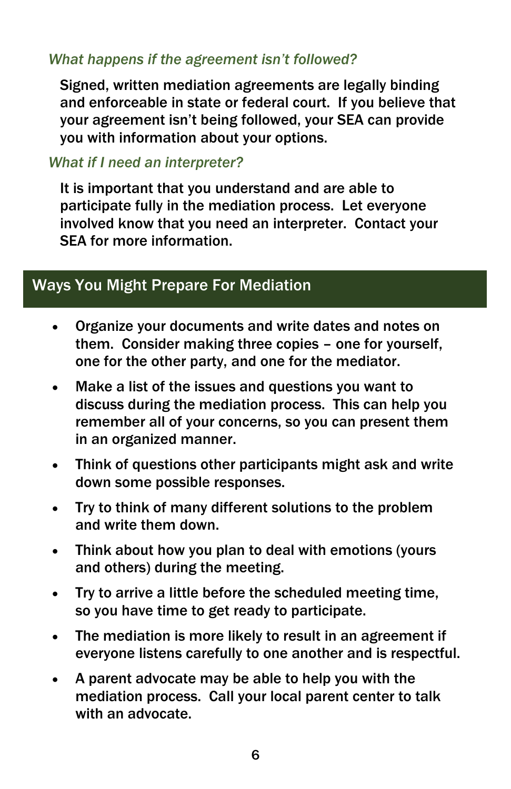### *What happens if the agreement isn't followed?*

Signed, written mediation agreements are legally binding and enforceable in state or federal court. If you believe that your agreement isn't being followed, your SEA can provide you with information about your options.

#### *What if I need an interpreter?*

It is important that you understand and are able to participate fully in the mediation process. Let everyone involved know that you need an interpreter. Contact your SEA for more information.

# Ways You Might Prepare For Mediation

- Organize your documents and write dates and notes on them. Consider making three copies – one for yourself, one for the other party, and one for the mediator.
- Make a list of the issues and questions you want to discuss during the mediation process. This can help you remember all of your concerns, so you can present them in an organized manner.
- Think of questions other participants might ask and write down some possible responses.
- Try to think of many different solutions to the problem and write them down.
- Think about how you plan to deal with emotions (yours and others) during the meeting.
- Try to arrive a little before the scheduled meeting time, so you have time to get ready to participate.
- The mediation is more likely to result in an agreement if everyone listens carefully to one another and is respectful.
- A parent advocate may be able to help you with the mediation process. Call your local parent center to talk with an advocate.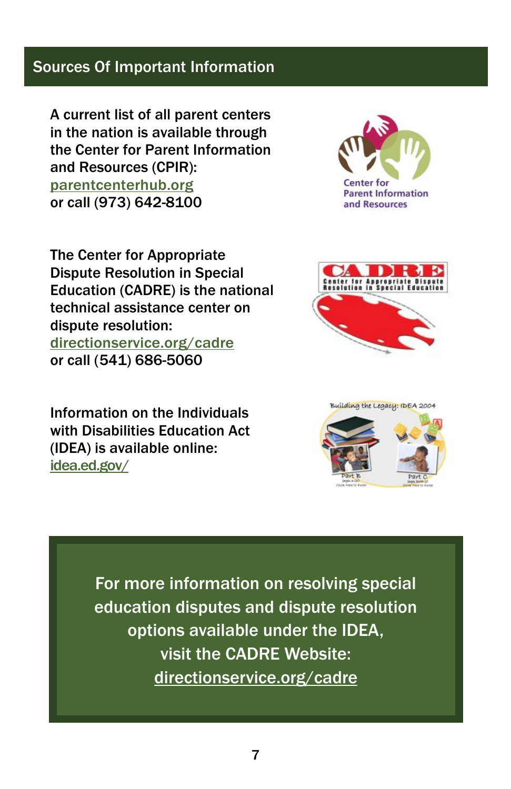## Sources Of Important Information

A current list of all parent centers in the nation is available through the Center for Parent Information and Resources (CPIR): parentcenterhub.org or call (973) 642-8100

The Center for Appropriate Dispute Resolution in Special Education (CADRE) is the national technical assistance center on dispute resolution: directionservice.org/cadre or call (541) 686-5060

Information on the Individuals with Disabilities Education Act (IDEA) is available online: idea.ed.gov/







For more information on resolving special education disputes and dispute resolution options available under the IDEA, visit the CADRE Website: directionservice.org/cadre